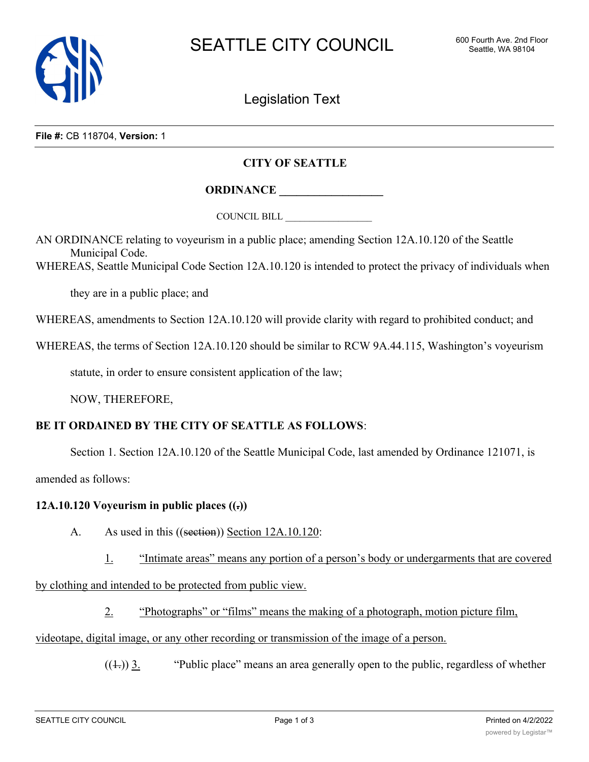

Legislation Text

**File #:** CB 118704, **Version:** 1

## **CITY OF SEATTLE**

## **ORDINANCE \_\_\_\_\_\_\_\_\_\_\_\_\_\_\_\_\_\_**

COUNCIL BILL \_\_\_\_\_\_\_\_\_\_\_\_\_\_\_\_\_\_

AN ORDINANCE relating to voyeurism in a public place; amending Section 12A.10.120 of the Seattle Municipal Code.

WHEREAS, Seattle Municipal Code Section 12A.10.120 is intended to protect the privacy of individuals when

they are in a public place; and

WHEREAS, amendments to Section 12A.10.120 will provide clarity with regard to prohibited conduct; and

WHEREAS, the terms of Section 12A.10.120 should be similar to RCW 9A.44.115, Washington's voyeurism

statute, in order to ensure consistent application of the law;

NOW, THEREFORE,

## **BE IT ORDAINED BY THE CITY OF SEATTLE AS FOLLOWS**:

Section 1. Section 12A.10.120 of the Seattle Municipal Code, last amended by Ordinance 121071, is

amended as follows:

## **12A.10.120 Voyeurism in public places ((.))**

A. As used in this ((section)) Section 12A.10.120:

1. "Intimate areas" means any portion of a person's body or undergarments that are covered

by clothing and intended to be protected from public view.

2. "Photographs" or "films" means the making of a photograph, motion picture film,

videotape, digital image, or any other recording or transmission of the image of a person.

 $((\pm))$  3. "Public place" means an area generally open to the public, regardless of whether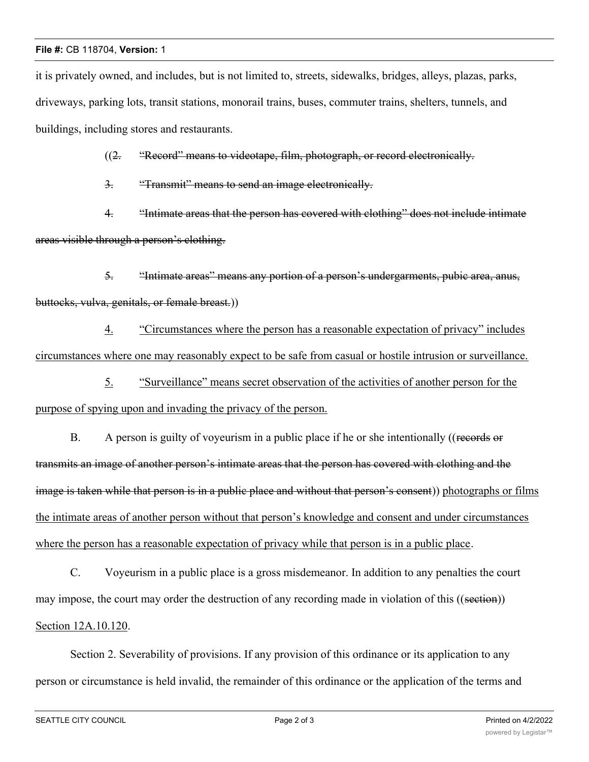it is privately owned, and includes, but is not limited to, streets, sidewalks, bridges, alleys, plazas, parks, driveways, parking lots, transit stations, monorail trains, buses, commuter trains, shelters, tunnels, and buildings, including stores and restaurants.

((2. "Record" means to videotape, film, photograph, or record electronically.

3. "Transmit" means to send an image electronically.

4. "Intimate areas that the person has covered with clothing" does not include intimate areas visible through a person's clothing.

5. "Intimate areas" means any portion of a person's undergarments, pubic area, anus, buttocks, vulva, genitals, or female breast.))

4. "Circumstances where the person has a reasonable expectation of privacy" includes circumstances where one may reasonably expect to be safe from casual or hostile intrusion or surveillance.

5. "Surveillance" means secret observation of the activities of another person for the purpose of spying upon and invading the privacy of the person.

B. A person is guilty of voyeurism in a public place if he or she intentionally ((records or transmits an image of another person's intimate areas that the person has covered with clothing and the image is taken while that person is in a public place and without that person's consent)) photographs or films the intimate areas of another person without that person's knowledge and consent and under circumstances where the person has a reasonable expectation of privacy while that person is in a public place.

C. Voyeurism in a public place is a gross misdemeanor. In addition to any penalties the court may impose, the court may order the destruction of any recording made in violation of this ((section)) Section 12A.10.120.

Section 2. Severability of provisions. If any provision of this ordinance or its application to any person or circumstance is held invalid, the remainder of this ordinance or the application of the terms and